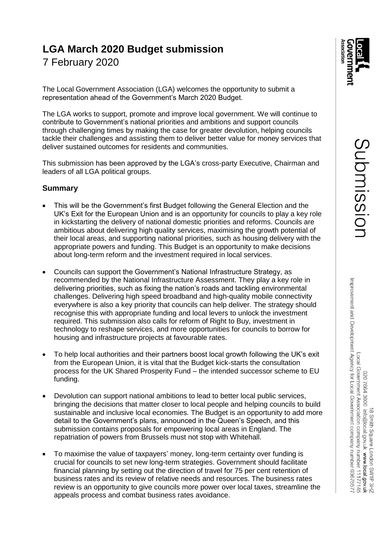# **LGA March 2020 Budget submission**

7 February 2020

The Local Government Association (LGA) welcomes the opportunity to submit a representation ahead of the Government's March 2020 Budget.

The LGA works to support, promote and improve local government. We will continue to contribute to Government's national priorities and ambitions and support councils through challenging times by making the case for greater devolution, helping councils tackle their challenges and assisting them to deliver better value for money services that deliver sustained outcomes for residents and communities.

This submission has been approved by the LGA's cross-party Executive, Chairman and leaders of all LGA political groups.

# **Summary**

- This will be the Government's first Budget following the General Election and the UK's Exit for the European Union and is an opportunity for councils to play a key role in kickstarting the delivery of national domestic priorities and reforms. Councils are ambitious about delivering high quality services, maximising the growth potential of their local areas, and supporting national priorities, such as housing delivery with the appropriate powers and funding. This Budget is an opportunity to make decisions about long-term reform and the investment required in local services.
- Councils can support the Government's National Infrastructure Strategy, as recommended by the National Infrastructure Assessment. They play a key role in delivering priorities, such as fixing the nation's roads and tackling environmental challenges. Delivering high speed broadband and high-quality mobile connectivity everywhere is also a key priority that councils can help deliver. The strategy should recognise this with appropriate funding and local levers to unlock the investment required. This submission also calls for reform of Right to Buy, investment in technology to reshape services, and more opportunities for councils to borrow for housing and infrastructure projects at favourable rates.
- To help local authorities and their partners boost local growth following the UK's exit from the European Union, it is vital that the Budget kick-starts the consultation process for the UK Shared Prosperity Fund – the intended successor scheme to EU funding.
- Devolution can support national ambitions to lead to better local public services, bringing the decisions that matter closer to local people and helping councils to build sustainable and inclusive local economies. The Budget is an opportunity to add more detail to the Government's plans, announced in the Queen's Speech, and this submission contains proposals for empowering local areas in England. The repatriation of powers from Brussels must not stop with Whitehall.
- To maximise the value of taxpayers' money, long-term certainty over funding is crucial for councils to set new long-term strategies. Government should facilitate financial planning by setting out the direction of travel for 75 per cent retention of business rates and its review of relative needs and resources. The business rates review is an opportunity to give councils more power over local taxes, streamline the appeals process and combat business rates avoidance.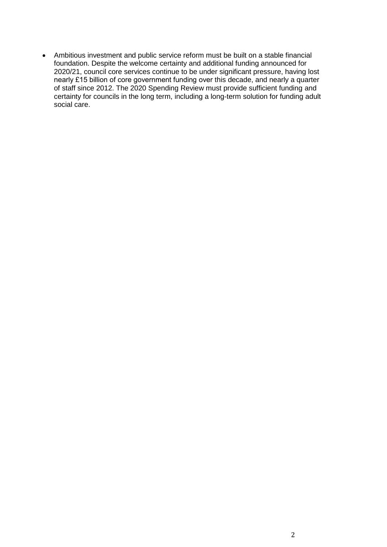• Ambitious investment and public service reform must be built on a stable financial foundation. Despite the welcome certainty and additional funding announced for 2020/21, council core services continue to be under significant pressure, having lost nearly £15 billion of core government funding over this decade, and nearly a quarter of staff since 2012. The 2020 Spending Review must provide sufficient funding and certainty for councils in the long term, including a long-term solution for funding adult social care.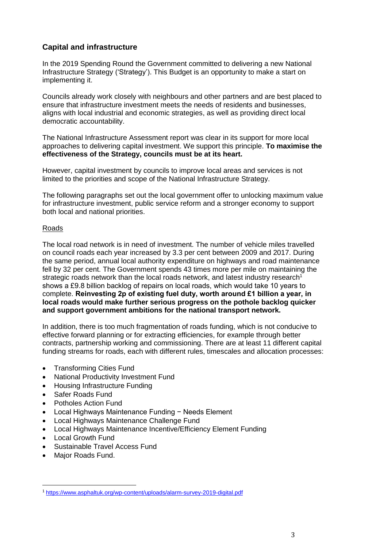# **Capital and infrastructure**

In the 2019 Spending Round the Government committed to delivering a new National Infrastructure Strategy ('Strategy'). This Budget is an opportunity to make a start on implementing it.

Councils already work closely with neighbours and other partners and are best placed to ensure that infrastructure investment meets the needs of residents and businesses, aligns with local industrial and economic strategies, as well as providing direct local democratic accountability.

The National Infrastructure Assessment report was clear in its support for more local approaches to delivering capital investment. We support this principle. **To maximise the effectiveness of the Strategy, councils must be at its heart.**

However, capital investment by councils to improve local areas and services is not limited to the priorities and scope of the National Infrastructure Strategy.

The following paragraphs set out the local government offer to unlocking maximum value for infrastructure investment, public service reform and a stronger economy to support both local and national priorities.

# Roads

The local road network is in need of investment. The number of vehicle miles travelled on council roads each year increased by 3.3 per cent between 2009 and 2017. During the same period, annual local authority expenditure on highways and road maintenance fell by 32 per cent. The Government spends 43 times more per mile on maintaining the strategic roads network than the local roads network, and latest industry research<sup>1</sup> shows a £9.8 billion backlog of repairs on local roads, which would take 10 years to complete. **Reinvesting 2p of existing fuel duty, worth around £1 billion a year, in local roads would make further serious progress on the pothole backlog quicker and support government ambitions for the national transport network.**

In addition, there is too much fragmentation of roads funding, which is not conducive to effective forward planning or for extracting efficiencies, for example through better contracts, partnership working and commissioning. There are at least 11 different capital funding streams for roads, each with different rules, timescales and allocation processes:

- Transforming Cities Fund
- National Productivity Investment Fund
- Housing Infrastructure Funding
- Safer Roads Fund
- Potholes Action Fund
- Local Highways Maintenance Funding − Needs Element
- Local Highways Maintenance Challenge Fund
- Local Highways Maintenance Incentive/Efficiency Element Funding
- Local Growth Fund
- Sustainable Travel Access Fund
- Major Roads Fund.

l

<sup>1</sup> <https://www.asphaltuk.org/wp-content/uploads/alarm-survey-2019-digital.pdf>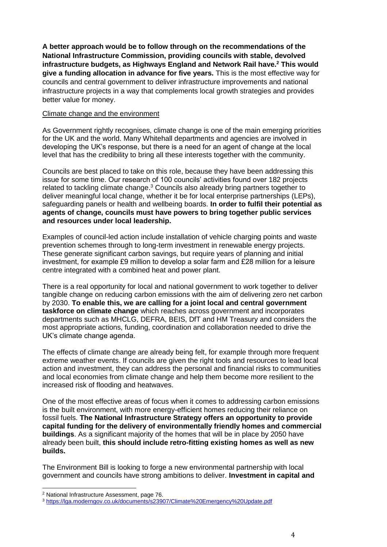**A better approach would be to follow through on the recommendations of the National Infrastructure Commission, providing councils with stable, devolved infrastructure budgets, as Highways England and Network Rail have. <sup>2</sup> This would give a funding allocation in advance for five years.** This is the most effective way for councils and central government to deliver infrastructure improvements and national infrastructure projects in a way that complements local growth strategies and provides better value for money.

#### Climate change and the environment

As Government rightly recognises, climate change is one of the main emerging priorities for the UK and the world. Many Whitehall departments and agencies are involved in developing the UK's response, but there is a need for an agent of change at the local level that has the credibility to bring all these interests together with the community.

Councils are best placed to take on this role, because they have been addressing this issue for some time. Our research of 100 councils' activities found over 182 projects related to tackling climate change.<sup>3</sup> Councils also already bring partners together to deliver meaningful local change, whether it be for local enterprise partnerships (LEPs), safeguarding panels or health and wellbeing boards. **In order to fulfil their potential as agents of change, councils must have powers to bring together public services and resources under local leadership.**

Examples of council-led action include installation of vehicle charging points and waste prevention schemes through to long-term investment in renewable energy projects. These generate significant carbon savings, but require years of planning and initial investment, for example £9 million to develop a solar farm and £28 million for a leisure centre integrated with a combined heat and power plant.

There is a real opportunity for local and national government to work together to deliver tangible change on reducing carbon emissions with the aim of delivering zero net carbon by 2030. **To enable this, we are calling for a joint local and central government taskforce on climate change** which reaches across government and incorporates departments such as MHCLG, DEFRA, BEIS, DfT and HM Treasury and considers the most appropriate actions, funding, coordination and collaboration needed to drive the UK's climate change agenda.

The effects of climate change are already being felt, for example through more frequent extreme weather events. If councils are given the right tools and resources to lead local action and investment, they can address the personal and financial risks to communities and local economies from climate change and help them become more resilient to the increased risk of flooding and heatwaves.

One of the most effective areas of focus when it comes to addressing carbon emissions is the built environment, with more energy-efficient homes reducing their reliance on fossil fuels. **The National Infrastructure Strategy offers an opportunity to provide capital funding for the delivery of environmentally friendly homes and commercial buildings**. As a significant majority of the homes that will be in place by 2050 have already been built, **this should include retro-fitting existing homes as well as new builds.**

The Environment Bill is looking to forge a new environmental partnership with local government and councils have strong ambitions to deliver. **Investment in capital and** 

l

<sup>2</sup> National Infrastructure Assessment, page 76.

<sup>3</sup> <https://lga.moderngov.co.uk/documents/s23907/Climate%20Emergency%20Update.pdf>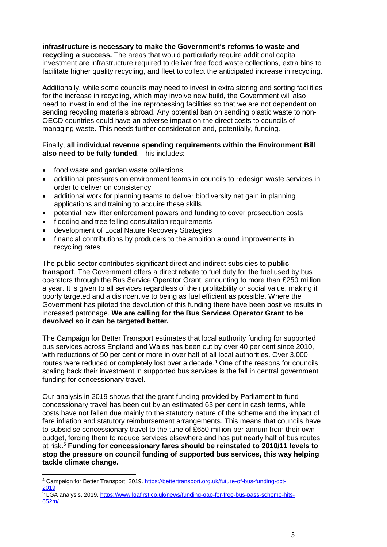**infrastructure is necessary to make the Government's reforms to waste and recycling a success.** The areas that would particularly require additional capital investment are infrastructure required to deliver free food waste collections, extra bins to facilitate higher quality recycling, and fleet to collect the anticipated increase in recycling.

Additionally, while some councils may need to invest in extra storing and sorting facilities for the increase in recycling, which may involve new build, the Government will also need to invest in end of the line reprocessing facilities so that we are not dependent on sending recycling materials abroad. Any potential ban on sending plastic waste to non-OECD countries could have an adverse impact on the direct costs to councils of managing waste. This needs further consideration and, potentially, funding.

# Finally, **all individual revenue spending requirements within the Environment Bill also need to be fully funded**. This includes:

- food waste and garden waste collections
- additional pressures on environment teams in councils to redesign waste services in order to deliver on consistency
- additional work for planning teams to deliver biodiversity net gain in planning applications and training to acquire these skills
- potential new litter enforcement powers and funding to cover prosecution costs
- flooding and tree felling consultation requirements
- development of Local Nature Recovery Strategies
- financial contributions by producers to the ambition around improvements in recycling rates.

The public sector contributes significant direct and indirect subsidies to **public transport**. The Government offers a direct rebate to fuel duty for the fuel used by bus operators through the Bus Service Operator Grant, amounting to more than £250 million a year. It is given to all services regardless of their profitability or social value, making it poorly targeted and a disincentive to being as fuel efficient as possible. Where the Government has piloted the devolution of this funding there have been positive results in increased patronage. **We are calling for the Bus Services Operator Grant to be devolved so it can be targeted better.**

The Campaign for Better Transport estimates that local authority funding for supported bus services across England and Wales has been cut by over 40 per cent since 2010, with reductions of 50 per cent or more in over half of all local authorities. Over 3,000 routes were reduced or completely lost over a decade. <sup>4</sup> One of the reasons for councils scaling back their investment in supported bus services is the fall in central government funding for concessionary travel.

Our analysis in 2019 shows that the grant funding provided by Parliament to fund concessionary travel has been cut by an estimated 63 per cent in cash terms, while costs have not fallen due mainly to the statutory nature of the scheme and the impact of fare inflation and statutory reimbursement arrangements. This means that councils have to subsidise concessionary travel to the tune of £650 million per annum from their own budget, forcing them to reduce services elsewhere and has put nearly half of bus routes at risk. <sup>5</sup> **Funding for concessionary fares should be reinstated to 2010/11 levels to stop the pressure on council funding of supported bus services, this way helping tackle climate change.**

l

<sup>&</sup>lt;sup>4</sup> Campaign for Better Transport, 2019[. https://bettertransport.org.uk/future-of-bus-funding-oct-](https://bettertransport.org.uk/future-of-bus-funding-oct-2019)[2019](https://bettertransport.org.uk/future-of-bus-funding-oct-2019)

 $5$  LGA analysis, 2019. [https://www.lgafirst.co.uk/news/funding-gap-for-free-bus-pass-scheme-hits-](https://www.lgafirst.co.uk/news/funding-gap-for-free-bus-pass-scheme-hits-652m/)[652m/](https://www.lgafirst.co.uk/news/funding-gap-for-free-bus-pass-scheme-hits-652m/)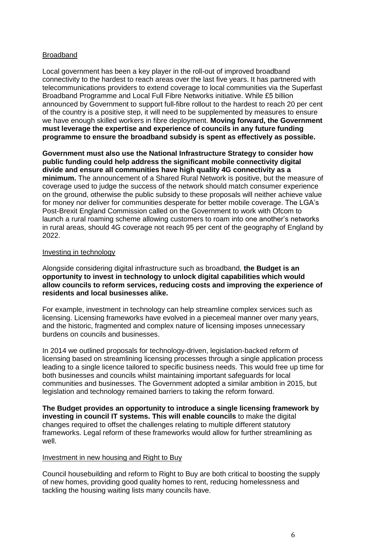# Broadband

Local government has been a key player in the roll-out of improved broadband connectivity to the hardest to reach areas over the last five years. It has partnered with telecommunications providers to extend coverage to local communities via the Superfast Broadband Programme and Local Full Fibre Networks initiative. While £5 billion announced by Government to support full-fibre rollout to the hardest to reach 20 per cent of the country is a positive step, it will need to be supplemented by measures to ensure we have enough skilled workers in fibre deployment. **Moving forward, the Government must leverage the expertise and experience of councils in any future funding programme to ensure the broadband subsidy is spent as effectively as possible.**

**Government must also use the National Infrastructure Strategy to consider how public funding could help address the significant mobile connectivity digital divide and ensure all communities have high quality 4G connectivity as a minimum.** The announcement of a Shared Rural Network is positive, but the measure of coverage used to judge the success of the network should match consumer experience on the ground, otherwise the public subsidy to these proposals will neither achieve value for money nor deliver for communities desperate for better mobile coverage. The LGA's Post-Brexit England Commission called on the Government to work with Ofcom to launch a rural roaming scheme allowing customers to roam into one another's networks in rural areas, should 4G coverage not reach 95 per cent of the geography of England by 2022.

#### Investing in technology

Alongside considering digital infrastructure such as broadband, **the Budget is an opportunity to invest in technology to unlock digital capabilities which would allow councils to reform services, reducing costs and improving the experience of residents and local businesses alike.**

For example, investment in technology can help streamline complex services such as licensing. Licensing frameworks have evolved in a piecemeal manner over many years, and the historic, fragmented and complex nature of licensing imposes unnecessary burdens on councils and businesses.

In 2014 we outlined proposals for technology-driven, legislation-backed reform of licensing based on streamlining licensing processes through a single application process leading to a single licence tailored to specific business needs. This would free up time for both businesses and councils whilst maintaining important safeguards for local communities and businesses. The Government adopted a similar ambition in 2015, but legislation and technology remained barriers to taking the reform forward.

**The Budget provides an opportunity to introduce a single licensing framework by investing in council IT systems. This will enable councils** to make the digital changes required to offset the challenges relating to multiple different statutory frameworks. Legal reform of these frameworks would allow for further streamlining as well.

# Investment in new housing and Right to Buy

Council housebuilding and reform to Right to Buy are both critical to boosting the supply of new homes, providing good quality homes to rent, reducing homelessness and tackling the housing waiting lists many councils have.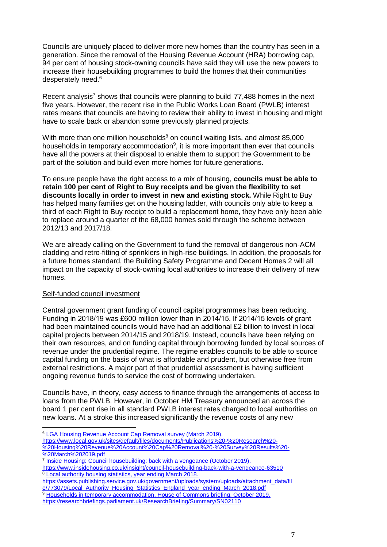Councils are uniquely placed to deliver more new homes than the country has seen in a generation. Since the removal of the Housing Revenue Account (HRA) borrowing cap, 94 per cent of housing stock-owning councils have said they will use the new powers to increase their housebuilding programmes to build the homes that their communities desperately need.<sup>6</sup>

Recent analysis<sup>7</sup> shows that councils were planning to build 77,488 homes in the next five years. However, the recent rise in the Public Works Loan Board (PWLB) interest rates means that councils are having to review their ability to invest in housing and might have to scale back or abandon some previously planned projects.

With more than one million households $8$  on council waiting lists, and almost 85,000 households in temporary accommodation<sup>9</sup>, it is more important than ever that councils have all the powers at their disposal to enable them to support the Government to be part of the solution and build even more homes for future generations.

To ensure people have the right access to a mix of housing, **councils must be able to retain 100 per cent of Right to Buy receipts and be given the flexibility to set discounts locally in order to invest in new and existing stock.** While Right to Buy has helped many families get on the housing ladder, with councils only able to keep a third of each Right to Buy receipt to build a replacement home, they have only been able to replace around a quarter of the 68,000 homes sold through the scheme between 2012/13 and 2017/18.

We are already calling on the Government to fund the removal of dangerous non-ACM cladding and retro-fitting of sprinklers in high-rise buildings. In addition, the proposals for a future homes standard, the Building Safety Programme and Decent Homes 2 will all impact on the capacity of stock-owning local authorities to increase their delivery of new homes.

# Self-funded council investment

 $\overline{a}$ 

Central government grant funding of council capital programmes has been reducing. Funding in 2018/19 was £600 million lower than in 2014/15. If 2014/15 levels of grant had been maintained councils would have had an additional £2 billion to invest in local capital projects between 2014/15 and 2018/19. Instead, councils have been relying on their own resources, and on funding capital through borrowing funded by local sources of revenue under the prudential regime. The regime enables councils to be able to source capital funding on the basis of what is affordable and prudent, but otherwise free from external restrictions. A major part of that prudential assessment is having sufficient ongoing revenue funds to service the cost of borrowing undertaken.

Councils have, in theory, easy access to finance through the arrangements of access to loans from the PWLB. However, in October HM Treasury announced an across the board 1 per cent rise in all standard PWLB interest rates charged to local authorities on new loans. At a stroke this increased significantly the revenue costs of any new

https://www.local.gov.uk/sites/default/files/documents/Publications%20-%20Research%20- %20Housing%20Revenue%20Account%20Cap%20Removal%20-%20Survey%20Results%20- %20March%202019.pdf

https://www.insidehousing.co.uk/insight/council-housebuilding-back-with-a-vengeance-63510 <sup>8</sup> [Local authority housing statistics, year ending March 2018.](https://assets.publishing.service.gov.uk/government/uploads/system/uploads/attachment_data/file/773079/Local_Authority_Housing_Statistics_England_year_ending_March_2018.pdf)

https://assets.publishing.service.gov.uk/government/uploads/system/uploads/attachment\_data/fil e/773079/Local\_Authority\_Housing\_Statistics\_England\_year\_ending\_March\_2018.pdf

<sup>9</sup> [Households in temporary accommodation,](https://researchbriefings.parliament.uk/ResearchBriefing/Summary/SN02110) House of Commons briefing, October 2019. https://researchbriefings.parliament.uk/ResearchBriefing/Summary/SN02110

<sup>&</sup>lt;sup>6</sup> [LGA Housing Revenue Account Cap Removal survey \(March 2019\).](https://www.local.gov.uk/sites/default/files/documents/Publications%20-%20Research%20-%20Housing%20Revenue%20Account%20Cap%20Removal%20-%20Survey%20Results%20-%20March%202019.pdf)

<sup>&</sup>lt;sup>7</sup> [Inside Housing: Council housebuilding: back with a vengeance \(October 2019\).](https://www.insidehousing.co.uk/insight/council-housebuilding-back-with-a-vengeance-63510)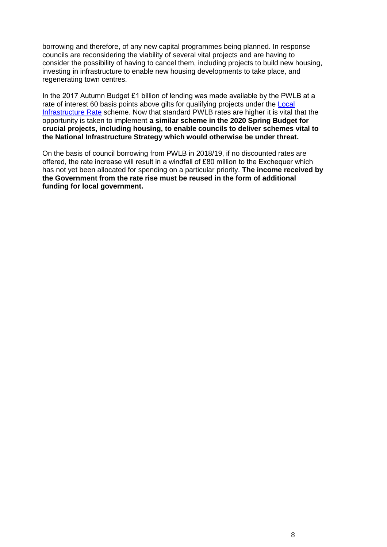borrowing and therefore, of any new capital programmes being planned. In response councils are reconsidering the viability of several vital projects and are having to consider the possibility of having to cancel them, including projects to build new housing, investing in infrastructure to enable new housing developments to take place, and regenerating town centres.

In the 2017 Autumn Budget £1 billion of lending was made available by the PWLB at a rate of interest 60 basis points above gilts for qualifying projects under the Local [Infrastructure Rate](https://www.gov.uk/government/consultations/local-infrastructure-rate) scheme. Now that standard PWLB rates are higher it is vital that the opportunity is taken to implement **a similar scheme in the 2020 Spring Budget for crucial projects, including housing, to enable councils to deliver schemes vital to the National Infrastructure Strategy which would otherwise be under threat.** 

On the basis of council borrowing from PWLB in 2018/19, if no discounted rates are offered, the rate increase will result in a windfall of £80 million to the Exchequer which has not yet been allocated for spending on a particular priority. **The income received by the Government from the rate rise must be reused in the form of additional funding for local government.**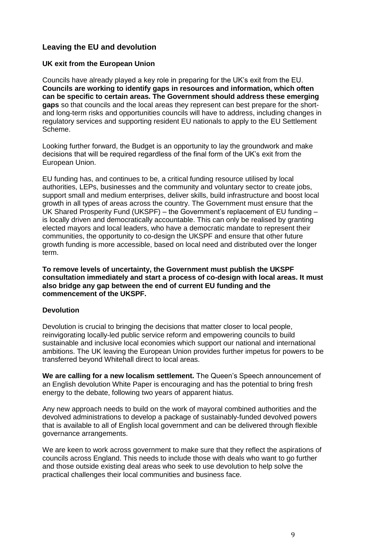# **Leaving the EU and devolution**

# **UK exit from the European Union**

Councils have already played a key role in preparing for the UK's exit from the EU. **Councils are working to identify gaps in resources and information, which often can be specific to certain areas. The Government should address these emerging gaps** so that councils and the local areas they represent can best prepare for the shortand long-term risks and opportunities councils will have to address, including changes in regulatory services and supporting resident EU nationals to apply to the EU Settlement Scheme.

Looking further forward, the Budget is an opportunity to lay the groundwork and make decisions that will be required regardless of the final form of the UK's exit from the European Union.

EU funding has, and continues to be, a critical funding resource utilised by local authorities, LEPs, businesses and the community and voluntary sector to create jobs, support small and medium enterprises, deliver skills, build infrastructure and boost local growth in all types of areas across the country. The Government must ensure that the UK Shared Prosperity Fund (UKSPF) – the Government's replacement of EU funding – is locally driven and democratically accountable. This can only be realised by granting elected mayors and local leaders, who have a democratic mandate to represent their communities, the opportunity to co-design the UKSPF and ensure that other future growth funding is more accessible, based on local need and distributed over the longer term.

**To remove levels of uncertainty, the Government must publish the UKSPF consultation immediately and start a process of co-design with local areas. It must also bridge any gap between the end of current EU funding and the commencement of the UKSPF.**

# **Devolution**

Devolution is crucial to bringing the decisions that matter closer to local people, reinvigorating locally-led public service reform and empowering councils to build sustainable and inclusive local economies which support our national and international ambitions. The UK leaving the European Union provides further impetus for powers to be transferred beyond Whitehall direct to local areas.

**We are calling for a new localism settlement.** The Queen's Speech announcement of an English devolution White Paper is encouraging and has the potential to bring fresh energy to the debate, following two years of apparent hiatus.

Any new approach needs to build on the work of mayoral combined authorities and the devolved administrations to develop a package of sustainably-funded devolved powers that is available to all of English local government and can be delivered through flexible governance arrangements.

We are keen to work across government to make sure that they reflect the aspirations of councils across England. This needs to include those with deals who want to go further and those outside existing deal areas who seek to use devolution to help solve the practical challenges their local communities and business face.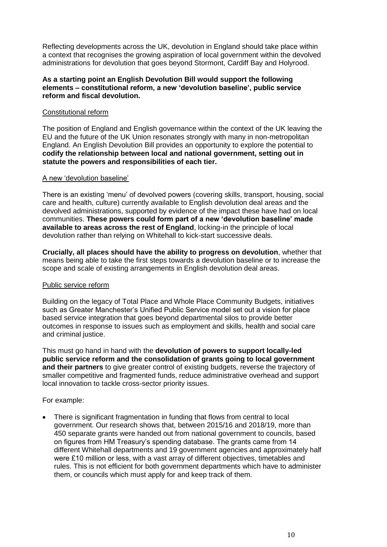Reflecting developments across the UK, devolution in England should take place within a context that recognises the growing aspiration of local government within the devolved administrations for devolution that goes beyond Stormont, Cardiff Bay and Holyrood.

### **As a starting point an English Devolution Bill would support the following elements – constitutional reform, a new 'devolution baseline', public service reform and fiscal devolution.**

## Constitutional reform

The position of England and English governance within the context of the UK leaving the EU and the future of the UK Union resonates strongly with many in non-metropolitan England. An English Devolution Bill provides an opportunity to explore the potential to **codify the relationship between local and national government, setting out in statute the powers and responsibilities of each tier.**

#### A new 'devolution baseline'

There is an existing 'menu' of devolved powers (covering skills, transport, housing, social care and health, culture) currently available to English devolution deal areas and the devolved administrations, supported by evidence of the impact these have had on local communities. **These powers could form part of a new 'devolution baseline' made available to areas across the rest of England**, locking-in the principle of local devolution rather than relying on Whitehall to kick-start successive deals.

**Crucially, all places should have the ability to progress on devolution**, whether that means being able to take the first steps towards a devolution baseline or to increase the scope and scale of existing arrangements in English devolution deal areas.

# Public service reform

Building on the legacy of Total Place and Whole Place Community Budgets, initiatives such as Greater Manchester's Unified Public Service model set out a vision for place based service integration that goes beyond departmental silos to provide better outcomes in response to issues such as employment and skills, health and social care and criminal justice.

This must go hand in hand with the **devolution of powers to support locally-led public service reform and the consolidation of grants going to local government and their partners** to give greater control of existing budgets, reverse the trajectory of smaller competitive and fragmented funds, reduce administrative overhead and support local innovation to tackle cross-sector priority issues.

# For example:

• There is significant fragmentation in funding that flows from central to local government. Our research shows that, between 2015/16 and 2018/19, more than 450 separate grants were handed out from national government to councils, based on figures from HM Treasury's spending database. The grants came from 14 different Whitehall departments and 19 government agencies and approximately half were £10 million or less, with a vast array of different objectives, timetables and rules. This is not efficient for both government departments which have to administer them, or councils which must apply for and keep track of them.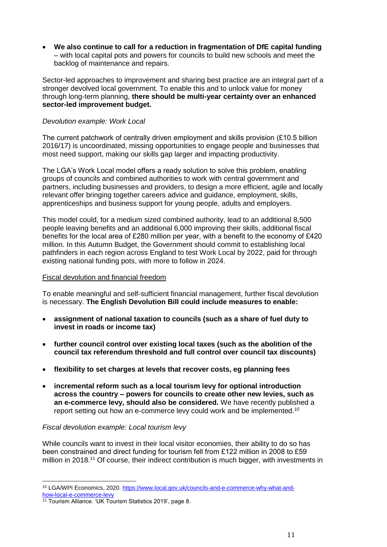• **We also continue to call for a reduction in fragmentation of DfE capital funding** – with local capital pots and powers for councils to build new schools and meet the backlog of maintenance and repairs.

Sector-led approaches to improvement and sharing best practice are an integral part of a stronger devolved local government. To enable this and to unlock value for money through long-term planning, **there should be multi-year certainty over an enhanced sector-led improvement budget.**

## *Devolution example: Work Local*

The current patchwork of centrally driven employment and skills provision (£10.5 billion 2016/17) is uncoordinated, missing opportunities to engage people and businesses that most need support, making our skills gap larger and impacting productivity.

The LGA's Work Local model offers a ready solution to solve this problem, enabling groups of councils and combined authorities to work with central government and partners, including businesses and providers, to design a more efficient, agile and locally relevant offer bringing together careers advice and guidance, employment, skills, apprenticeships and business support for young people, adults and employers.

This model could, for a medium sized combined authority, lead to an additional 8,500 people leaving benefits and an additional 6,000 improving their skills, additional fiscal benefits for the local area of £280 million per year, with a benefit to the economy of £420 million. In this Autumn Budget, the Government should commit to establishing local pathfinders in each region across England to test Work Local by 2022, paid for through existing national funding pots, with more to follow in 2024.

#### Fiscal devolution and financial freedom

To enable meaningful and self-sufficient financial management, further fiscal devolution is necessary. **The English Devolution Bill could include measures to enable:**

- **assignment of national taxation to councils (such as a share of fuel duty to invest in roads or income tax)**
- **further council control over existing local taxes (such as the abolition of the council tax referendum threshold and full control over council tax discounts)**
- **flexibility to set charges at levels that recover costs, eg planning fees**
- **incremental reform such as a local tourism levy for optional introduction across the country – powers for councils to create other new levies, such as an e-commerce levy, should also be considered.** We have recently published a report setting out how an e-commerce levy could work and be implemented.<sup>10</sup>

#### *Fiscal devolution example: Local tourism levy*

While councils want to invest in their local visitor economies, their ability to do so has been constrained and direct funding for tourism fell from £122 million in 2008 to £59 million in 2018.<sup>11</sup> Of course, their indirect contribution is much bigger, with investments in

l <sup>10</sup> LGA/WPI Economics, 2020. [https://www.local.gov.uk/councils-and-e-commerce-why-what-and](https://www.local.gov.uk/councils-and-e-commerce-why-what-and-how-local-e-commerce-levy)[how-local-e-commerce-levy](https://www.local.gov.uk/councils-and-e-commerce-why-what-and-how-local-e-commerce-levy)

<sup>&</sup>lt;sup>11</sup> Tourism Alliance. 'UK Tourism Statistics 2019', page 8.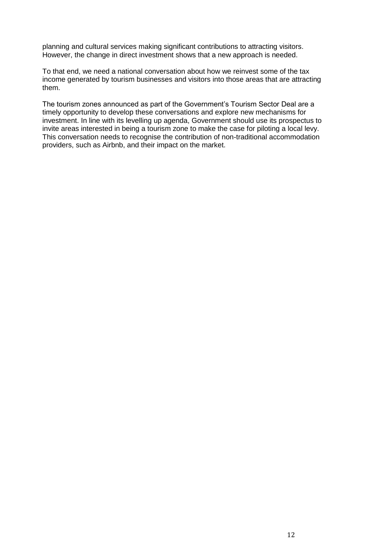planning and cultural services making significant contributions to attracting visitors. However, the change in direct investment shows that a new approach is needed.

To that end, we need a national conversation about how we reinvest some of the tax income generated by tourism businesses and visitors into those areas that are attracting them.

The tourism zones announced as part of the Government's Tourism Sector Deal are a timely opportunity to develop these conversations and explore new mechanisms for investment. In line with its levelling up agenda, Government should use its prospectus to invite areas interested in being a tourism zone to make the case for piloting a local levy. This conversation needs to recognise the contribution of non-traditional accommodation providers, such as Airbnb, and their impact on the market.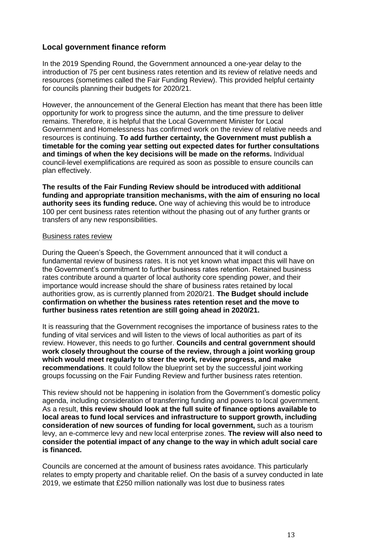# **Local government finance reform**

In the 2019 Spending Round, the Government announced a one-year delay to the introduction of 75 per cent business rates retention and its review of relative needs and resources (sometimes called the Fair Funding Review). This provided helpful certainty for councils planning their budgets for 2020/21.

However, the announcement of the General Election has meant that there has been little opportunity for work to progress since the autumn, and the time pressure to deliver remains. Therefore, it is helpful that the Local Government Minister for Local Government and Homelessness has confirmed work on the review of relative needs and resources is continuing. **To add further certainty, the Government must publish a timetable for the coming year setting out expected dates for further consultations and timings of when the key decisions will be made on the reforms.** Individual council-level exemplifications are required as soon as possible to ensure councils can plan effectively.

**The results of the Fair Funding Review should be introduced with additional funding and appropriate transition mechanisms, with the aim of ensuring no local authority sees its funding reduce.** One way of achieving this would be to introduce 100 per cent business rates retention without the phasing out of any further grants or transfers of any new responsibilities.

#### Business rates review

During the Queen's Speech, the Government announced that it will conduct a fundamental review of business rates. It is not yet known what impact this will have on the Government's commitment to further business rates retention. Retained business rates contribute around a quarter of local authority core spending power, and their importance would increase should the share of business rates retained by local authorities grow, as is currently planned from 2020/21. **The Budget should include confirmation on whether the business rates retention reset and the move to further business rates retention are still going ahead in 2020/21.**

It is reassuring that the Government recognises the importance of business rates to the funding of vital services and will listen to the views of local authorities as part of its review. However, this needs to go further. **Councils and central government should work closely throughout the course of the review, through a joint working group which would meet regularly to steer the work, review progress, and make recommendations**. It could follow the blueprint set by the successful joint working groups focussing on the Fair Funding Review and further business rates retention.

This review should not be happening in isolation from the Government's domestic policy agenda, including consideration of transferring funding and powers to local government. As a result, **this review should look at the full suite of finance options available to local areas to fund local services and infrastructure to support growth, including consideration of new sources of funding for local government,** such as a tourism levy, an e-commerce levy and new local enterprise zones. **The review will also need to consider the potential impact of any change to the way in which adult social care is financed.**

Councils are concerned at the amount of business rates avoidance. This particularly relates to empty property and charitable relief. On the basis of a survey conducted in late 2019, we estimate that £250 million nationally was lost due to business rates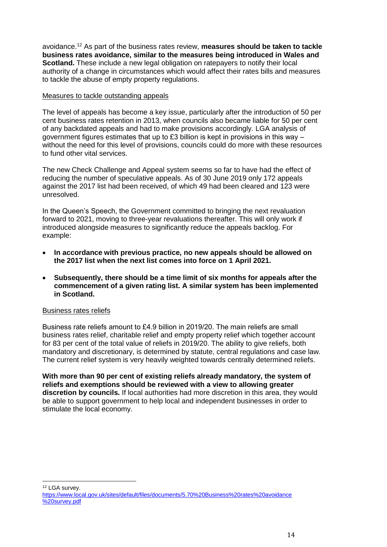avoidance. <sup>12</sup> As part of the business rates review, **measures should be taken to tackle business rates avoidance, similar to the measures being introduced in Wales and Scotland.** These include a new legal obligation on ratepayers to notify their local authority of a change in circumstances which would affect their rates bills and measures to tackle the abuse of empty property regulations.

## Measures to tackle outstanding appeals

The level of appeals has become a key issue, particularly after the introduction of 50 per cent business rates retention in 2013, when councils also became liable for 50 per cent of any backdated appeals and had to make provisions accordingly. LGA analysis of government figures estimates that up to £3 billion is kept in provisions in this way  $$ without the need for this level of provisions, councils could do more with these resources to fund other vital services.

The new Check Challenge and Appeal system seems so far to have had the effect of reducing the number of speculative appeals. As of 30 June 2019 only 172 appeals against the 2017 list had been received, of which 49 had been cleared and 123 were unresolved.

In the Queen's Speech, the Government committed to bringing the next revaluation forward to 2021, moving to three-year revaluations thereafter. This will only work if introduced alongside measures to significantly reduce the appeals backlog. For example:

- **In accordance with previous practice, no new appeals should be allowed on the 2017 list when the next list comes into force on 1 April 2021.**
- **Subsequently, there should be a time limit of six months for appeals after the commencement of a given rating list. A similar system has been implemented in Scotland.**

# Business rates reliefs

Business rate reliefs amount to £4.9 billion in 2019/20. The main reliefs are small business rates relief, charitable relief and empty property relief which together account for 83 per cent of the total value of reliefs in 2019/20. The ability to give reliefs, both mandatory and discretionary, is determined by statute, central regulations and case law. The current relief system is very heavily weighted towards centrally determined reliefs.

**With more than 90 per cent of existing reliefs already mandatory, the system of reliefs and exemptions should be reviewed with a view to allowing greater discretion by councils.** If local authorities had more discretion in this area, they would be able to support government to help local and independent businesses in order to stimulate the local economy.

l <sup>12</sup> LGA survey.

[https://www.local.gov.uk/sites/default/files/documents/5.70%20Business%20rates%20avoidance](https://www.local.gov.uk/sites/default/files/documents/5.70%20Business%20rates%20avoidance%20survey.pdf) [%20survey.pdf](https://www.local.gov.uk/sites/default/files/documents/5.70%20Business%20rates%20avoidance%20survey.pdf)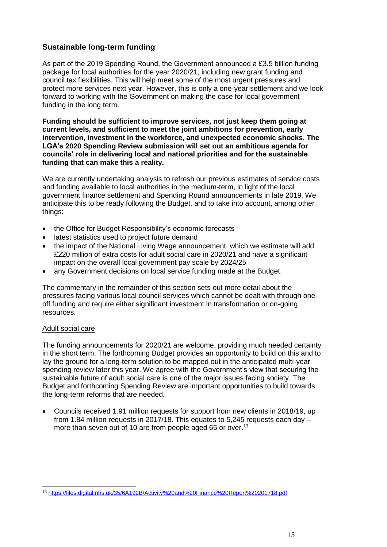# **Sustainable long-term funding**

As part of the 2019 Spending Round, the Government announced a £3.5 billion funding package for local authorities for the year 2020/21, including new grant funding and council tax flexibilities. This will help meet some of the most urgent pressures and protect more services next year. However, this is only a one-year settlement and we look forward to working with the Government on making the case for local government funding in the long term.

**Funding should be sufficient to improve services, not just keep them going at current levels, and sufficient to meet the joint ambitions for prevention, early intervention, investment in the workforce, and unexpected economic shocks. The LGA's 2020 Spending Review submission will set out an ambitious agenda for councils' role in delivering local and national priorities and for the sustainable funding that can make this a reality.**

We are currently undertaking analysis to refresh our previous estimates of service costs and funding available to local authorities in the medium-term, in light of the local government finance settlement and Spending Round announcements in late 2019. We anticipate this to be ready following the Budget, and to take into account, among other things:

- the Office for Budget Responsibility's economic forecasts
- latest statistics used to project future demand
- the impact of the National Living Wage announcement, which we estimate will add £220 million of extra costs for adult social care in 2020/21 and have a significant impact on the overall local government pay scale by 2024/25
- any Government decisions on local service funding made at the Budget.

The commentary in the remainder of this section sets out more detail about the pressures facing various local council services which cannot be dealt with through oneoff funding and require either significant investment in transformation or on-going resources.

# Adult social care

The funding announcements for 2020/21 are welcome, providing much needed certainty in the short term. The forthcoming Budget provides an opportunity to build on this and to lay the ground for a long-term solution to be mapped out in the anticipated multi-year spending review later this year. We agree with the Government's view that securing the sustainable future of adult social care is one of the major issues facing society. The Budget and forthcoming Spending Review are important opportunities to build towards the long-term reforms that are needed.

• Councils received 1.91 million requests for support from new clients in 2018/19, up from 1.84 million requests in 2017/18. This equates to 5,245 requests each day – more than seven out of 10 are from people aged 65 or over.<sup>13</sup>

l <sup>13</sup> <https://files.digital.nhs.uk/35/6A192B/Activity%20and%20Finance%20Report%20201718.pdf>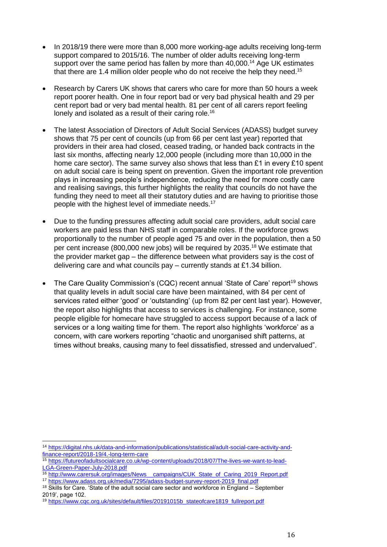- In 2018/19 there were more than 8,000 more working-age adults receiving long-term support compared to 2015/16. The number of older adults receiving long-term support over the same period has fallen by more than  $40,000$ .<sup>14</sup> Age UK estimates that there are 1.4 million older people who do not receive the help they need.<sup>15</sup>
- Research by Carers UK shows that carers who care for more than 50 hours a week report poorer health. One in four report bad or very bad physical health and 29 per cent report bad or very bad mental health. 81 per cent of all carers report feeling lonely and isolated as a result of their caring role.<sup>16</sup>
- The latest Association of Directors of Adult Social Services (ADASS) budget survey shows that 75 per cent of councils (up from 66 per cent last year) reported that providers in their area had closed, ceased trading, or handed back contracts in the last six months, affecting nearly 12,000 people (including more than 10,000 in the home care sector). The same survey also shows that less than  $£1$  in every  $£10$  spent on adult social care is being spent on prevention. Given the important role prevention plays in increasing people's independence, reducing the need for more costly care and realising savings, this further highlights the reality that councils do not have the funding they need to meet all their statutory duties and are having to prioritise those people with the highest level of immediate needs.<sup>17</sup>
- Due to the funding pressures affecting adult social care providers, adult social care workers are paid less than NHS staff in comparable roles. If the workforce grows proportionally to the number of people aged 75 and over in the population, then a 50 per cent increase (800,000 new jobs) will be required by 2035. <sup>18</sup> We estimate that the provider market gap – the difference between what providers say is the cost of delivering care and what councils pay – currently stands at £1.34 billion.
- The Care Quality Commission's (CQC) recent annual 'State of Care' report<sup>19</sup> shows that quality levels in adult social care have been maintained, with 84 per cent of services rated either 'good' or 'outstanding' (up from 82 per cent last year). However, the report also highlights that access to services is challenging. For instance, some people eligible for homecare have struggled to access support because of a lack of services or a long waiting time for them. The report also highlights 'workforce' as a concern, with care workers reporting "chaotic and unorganised shift patterns, at times without breaks, causing many to feel dissatisfied, stressed and undervalued".

l <sup>14</sup> [https://digital.nhs.uk/data-and-information/publications/statistical/adult-social-care-activity-and](https://digital.nhs.uk/data-and-information/publications/statistical/adult-social-care-activity-and-finance-report/2018-19/4.-long-term-care)[finance-report/2018-19/4.-long-term-care](https://digital.nhs.uk/data-and-information/publications/statistical/adult-social-care-activity-and-finance-report/2018-19/4.-long-term-care)

<sup>15</sup> [https://futureofadultsocialcare.co.uk/wp-content/uploads/2018/07/The-lives-we-want-to-lead-](https://futureofadultsocialcare.co.uk/wp-content/uploads/2018/07/The-lives-we-want-to-lead-LGA-Green-Paper-July-2018.pdf)[LGA-Green-Paper-July-2018.pdf](https://futureofadultsocialcare.co.uk/wp-content/uploads/2018/07/The-lives-we-want-to-lead-LGA-Green-Paper-July-2018.pdf)

<sup>&</sup>lt;sup>16</sup> http://www.carersuk.org/images/News\_campaigns/CUK\_State\_of\_Caring\_2019\_Report.pdf <sup>17</sup> [https://www.adass.org.uk/media/7295/adass-budget-survey-report-2019\\_final.pdf](https://www.adass.org.uk/media/7295/adass-budget-survey-report-2019_final.pdf)

<sup>&</sup>lt;sup>18</sup> Skills for Care. 'State of the adult social care sector and workforce in England – September 2019', page 102.

<sup>19</sup> [https://www.cqc.org.uk/sites/default/files/20191015b\\_stateofcare1819\\_fullreport.pdf](https://www.cqc.org.uk/sites/default/files/20191015b_stateofcare1819_fullreport.pdf)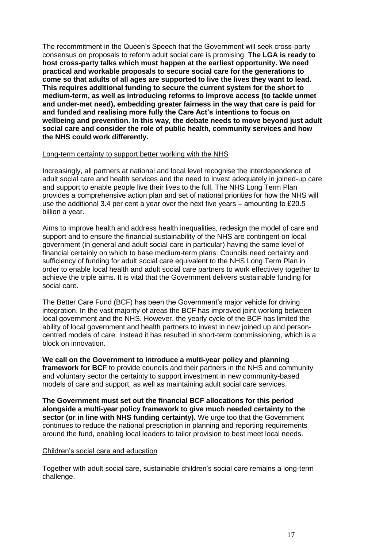The recommitment in the Queen's Speech that the Government will seek cross-party consensus on proposals to reform adult social care is promising. **The LGA is ready to host cross-party talks which must happen at the earliest opportunity. We need practical and workable proposals to secure social care for the generations to come so that adults of all ages are supported to live the lives they want to lead. This requires additional funding to secure the current system for the short to medium-term, as well as introducing reforms to improve access (to tackle unmet and under-met need), embedding greater fairness in the way that care is paid for and funded and realising more fully the Care Act's intentions to focus on wellbeing and prevention. In this way, the debate needs to move beyond just adult social care and consider the role of public health, community services and how the NHS could work differently.**

#### Long-term certainty to support better working with the NHS

Increasingly, all partners at national and local level recognise the interdependence of adult social care and health services and the need to invest adequately in joined-up care and support to enable people live their lives to the full. The NHS Long Term Plan provides a comprehensive action plan and set of national priorities for how the NHS will use the additional 3.4 per cent a year over the next five years – amounting to £20.5 billion a year.

Aims to improve health and address health inequalities, redesign the model of care and support and to ensure the financial sustainability of the NHS are contingent on local government (in general and adult social care in particular) having the same level of financial certainly on which to base medium-term plans. Councils need certainty and sufficiency of funding for adult social care equivalent to the NHS Long Term Plan in order to enable local health and adult social care partners to work effectively together to achieve the triple aims. It is vital that the Government delivers sustainable funding for social care.

The Better Care Fund (BCF) has been the Government's major vehicle for driving integration. In the vast majority of areas the BCF has improved joint working between local government and the NHS. However, the yearly cycle of the BCF has limited the ability of local government and health partners to invest in new joined up and personcentred models of care. Instead it has resulted in short-term commissioning, which is a block on innovation.

**We call on the Government to introduce a multi-year policy and planning framework for BCF** to provide councils and their partners in the NHS and community and voluntary sector the certainty to support investment in new community-based models of care and support, as well as maintaining adult social care services.

**The Government must set out the financial BCF allocations for this period alongside a multi-year policy framework to give much needed certainty to the sector (or in line with NHS funding certainty).** We urge too that the Government continues to reduce the national prescription in planning and reporting requirements around the fund, enabling local leaders to tailor provision to best meet local needs.

#### Children's social care and education

Together with adult social care, sustainable children's social care remains a long-term challenge.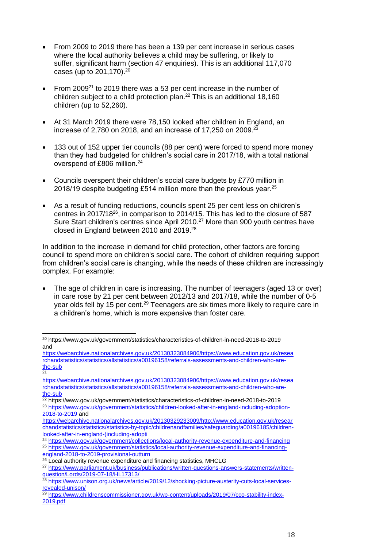- From 2009 to 2019 there has been a 139 per cent increase in serious cases where the local authority believes a child may be suffering, or likely to suffer, significant harm (section 47 enquiries). This is an additional 117,070 cases (up to  $201,170$ ).<sup>20</sup>
- From 2009<sup>21</sup> to 2019 there was a 53 per cent increase in the number of children subject to a child protection plan. <sup>22</sup> This is an additional 18,160 children (up to 52,260).
- At 31 March 2019 there were 78,150 looked after children in England, an increase of 2,780 on 2018, and an increase of 17,250 on 2009. $^{23}$
- 133 out of 152 upper tier councils (88 per cent) were forced to spend more money than they had budgeted for children's social care in 2017/18, with a total national overspend of £806 million.<sup>24</sup>
- Councils overspent their children's social care budgets by £770 million in 2018/19 despite budgeting £514 million more than the previous year. $^{25}$
- As a result of funding reductions, councils spent 25 per cent less on children's centres in 2017/18<sup>26</sup> , in comparison to 2014/15. This has led to the closure of 587 Sure Start children's centres since April 2010.<sup>27</sup> More than 900 youth centres have closed in England between 2010 and 2019.<sup>28</sup>

In addition to the increase in demand for child protection, other factors are forcing council to spend more on children's social care. The cohort of children requiring support from children's social care is changing, while the needs of these children are increasingly complex. For example:

• The age of children in care is increasing. The number of teenagers (aged 13 or over) in care rose by 21 per cent between 2012/13 and 2017/18, while the number of 0-5 year olds fell by 15 per cent.<sup>29</sup> Teenagers are six times more likely to require care in a children's home, which is more expensive than foster care.

[england-2018-to-2019-provisional-outturn](https://www.gov.uk/government/statistics/local-authority-revenue-expenditure-and-financing-england-2018-to-2019-provisional-outturn)

 $\overline{a}$ <sup>20</sup> https://www.gov.uk/government/statistics/characteristics-of-children-in-need-2018-to-2019 and

[https://webarchive.nationalarchives.gov.uk/20130323084906/https://www.education.gov.uk/resea](https://webarchive.nationalarchives.gov.uk/20130323084906/https:/www.education.gov.uk/researchandstatistics/statistics/allstatistics/a00196158/referrals-assessments-and-children-who-are-the-sub) [rchandstatistics/statistics/allstatistics/a00196158/referrals-assessments-and-children-who-are](https://webarchive.nationalarchives.gov.uk/20130323084906/https:/www.education.gov.uk/researchandstatistics/statistics/allstatistics/a00196158/referrals-assessments-and-children-who-are-the-sub)[the-sub](https://webarchive.nationalarchives.gov.uk/20130323084906/https:/www.education.gov.uk/researchandstatistics/statistics/allstatistics/a00196158/referrals-assessments-and-children-who-are-the-sub)  $\frac{2}{21}$ 

[https://webarchive.nationalarchives.gov.uk/20130323084906/https://www.education.gov.uk/resea](https://webarchive.nationalarchives.gov.uk/20130323084906/https:/www.education.gov.uk/researchandstatistics/statistics/allstatistics/a00196158/referrals-assessments-and-children-who-are-the-sub) [rchandstatistics/statistics/allstatistics/a00196158/referrals-assessments-and-children-who-are](https://webarchive.nationalarchives.gov.uk/20130323084906/https:/www.education.gov.uk/researchandstatistics/statistics/allstatistics/a00196158/referrals-assessments-and-children-who-are-the-sub)[the-sub](https://webarchive.nationalarchives.gov.uk/20130323084906/https:/www.education.gov.uk/researchandstatistics/statistics/allstatistics/a00196158/referrals-assessments-and-children-who-are-the-sub)

<sup>22</sup> https://www.gov.uk/government/statistics/characteristics-of-children-in-need-2018-to-2019

<sup>&</sup>lt;sup>23</sup> [https://www.gov.uk/government/statistics/children-looked-after-in-england-including-adoption-](https://www.gov.uk/government/statistics/children-looked-after-in-england-including-adoption-2018-to-2019)[2018-to-2019](https://www.gov.uk/government/statistics/children-looked-after-in-england-including-adoption-2018-to-2019) and

[https://webarchive.nationalarchives.gov.uk/20130329233009/http://www.education.gov.uk/resear](https://webarchive.nationalarchives.gov.uk/20130329233009/http:/www.education.gov.uk/researchandstatistics/statistics/statistics-by-topic/childrenandfamilies/safeguarding/a00196185/children-looked-after-in-england-(including-adopti) [chandstatistics/statistics/statistics-by-topic/childrenandfamilies/safeguarding/a00196185/children](https://webarchive.nationalarchives.gov.uk/20130329233009/http:/www.education.gov.uk/researchandstatistics/statistics/statistics-by-topic/childrenandfamilies/safeguarding/a00196185/children-looked-after-in-england-(including-adopti)[looked-after-in-england-\(including-adopti](https://webarchive.nationalarchives.gov.uk/20130329233009/http:/www.education.gov.uk/researchandstatistics/statistics/statistics-by-topic/childrenandfamilies/safeguarding/a00196185/children-looked-after-in-england-(including-adopti)

<sup>24</sup> <https://www.gov.uk/government/collections/local-authority-revenue-expenditure-and-financing> <sup>25</sup> [https://www.gov.uk/government/statistics/local-authority-revenue-expenditure-and-financing-](https://www.gov.uk/government/statistics/local-authority-revenue-expenditure-and-financing-england-2018-to-2019-provisional-outturn)

<sup>&</sup>lt;sup>26</sup> Local authority revenue expenditure and financing statistics, MHCLG

<sup>27</sup> [https://www.parliament.uk/business/publications/written-questions-answers-statements/written](https://www.parliament.uk/business/publications/written-questions-answers-statements/written-question/Lords/2019-07-18/HL17313/)[question/Lords/2019-07-18/HL17313/](https://www.parliament.uk/business/publications/written-questions-answers-statements/written-question/Lords/2019-07-18/HL17313/)

<sup>28</sup> [https://www.unison.org.uk/news/article/2019/12/shocking-picture-austerity-cuts-local-services](https://www.unison.org.uk/news/article/2019/12/shocking-picture-austerity-cuts-local-services-revealed-unison/)[revealed-unison/](https://www.unison.org.uk/news/article/2019/12/shocking-picture-austerity-cuts-local-services-revealed-unison/)

<sup>&</sup>lt;sup>29</sup> [https://www.childrenscommissioner.gov.uk/wp-content/uploads/2019/07/cco-stability-index-](https://www.childrenscommissioner.gov.uk/wp-content/uploads/2019/07/cco-stability-index-2019.pdf)[2019.pdf](https://www.childrenscommissioner.gov.uk/wp-content/uploads/2019/07/cco-stability-index-2019.pdf)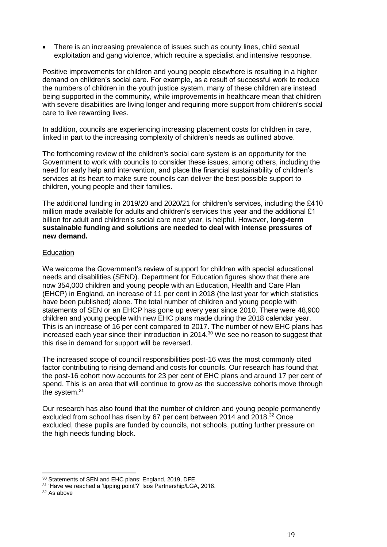• There is an increasing prevalence of issues such as county lines, child sexual exploitation and gang violence, which require a specialist and intensive response.

Positive improvements for children and young people elsewhere is resulting in a higher demand on children's social care. For example, as a result of successful work to reduce the numbers of children in the youth justice system, many of these children are instead being supported in the community, while improvements in healthcare mean that children with severe disabilities are living longer and requiring more support from children's social care to live rewarding lives.

In addition, councils are experiencing increasing placement costs for children in care, linked in part to the increasing complexity of children's needs as outlined above.

The forthcoming review of the children's social care system is an opportunity for the Government to work with councils to consider these issues, among others, including the need for early help and intervention, and place the financial sustainability of children's services at its heart to make sure councils can deliver the best possible support to children, young people and their families.

The additional funding in 2019/20 and 2020/21 for children's services, including the £410 million made available for adults and children's services this year and the additional £1 billion for adult and children's social care next year, is helpful. However, **long-term sustainable funding and solutions are needed to deal with intense pressures of new demand.**

#### **Education**

We welcome the Government's review of support for children with special educational needs and disabilities (SEND). Department for Education figures show that there are now 354,000 children and young people with an Education, Health and Care Plan (EHCP) in England, an increase of 11 per cent in 2018 (the last year for which statistics have been published) alone. The total number of children and young people with statements of SEN or an EHCP has gone up every year since 2010. There were 48,900 children and young people with new EHC plans made during the 2018 calendar year. This is an increase of 16 per cent compared to 2017. The number of new EHC plans has increased each year since their introduction in 2014. <sup>30</sup> We see no reason to suggest that this rise in demand for support will be reversed.

The increased scope of council responsibilities post-16 was the most commonly cited factor contributing to rising demand and costs for councils. Our research has found that the post-16 cohort now accounts for 23 per cent of EHC plans and around 17 per cent of spend. This is an area that will continue to grow as the successive cohorts move through the system.<sup>31</sup>

Our research has also found that the number of children and young people permanently excluded from school has risen by 67 per cent between 2014 and 2018.<sup>32</sup> Once excluded, these pupils are funded by councils, not schools, putting further pressure on the high needs funding block.

l 30 Statements of SEN and EHC plans: England, 2019, DFE.

<sup>&</sup>lt;sup>31</sup> 'Have we reached a 'tipping point'?' Isos Partnership/LGA, 2018.

<sup>32</sup> As above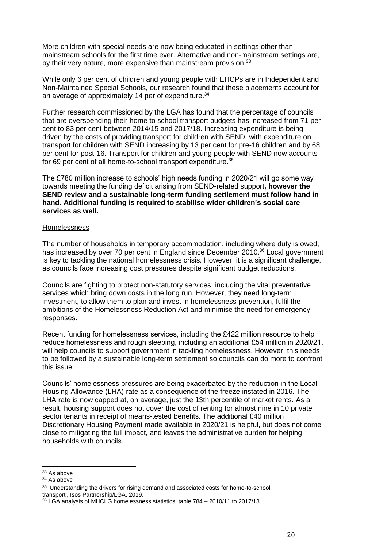More children with special needs are now being educated in settings other than mainstream schools for the first time ever. Alternative and non-mainstream settings are, by their very nature, more expensive than mainstream provision.<sup>33</sup>

While only 6 per cent of children and young people with EHCPs are in Independent and Non-Maintained Special Schools, our research found that these placements account for an average of approximately 14 per of expenditure.<sup>34</sup>

Further research commissioned by the LGA has found that the percentage of councils that are overspending their home to school transport budgets has increased from 71 per cent to 83 per cent between 2014/15 and 2017/18. Increasing expenditure is being driven by the costs of providing transport for children with SEND, with expenditure on transport for children with SEND increasing by 13 per cent for pre-16 children and by 68 per cent for post-16. Transport for children and young people with SEND now accounts for 69 per cent of all home-to-school transport expenditure.<sup>35</sup>

The £780 million increase to schools' high needs funding in 2020/21 will go some way towards meeting the funding deficit arising from SEND-related support**, however the SEND review and a sustainable long-term funding settlement must follow hand in hand. Additional funding is required to stabilise wider children's social care services as well.**

#### **Homelessness**

The number of households in temporary accommodation, including where duty is owed, has increased by over 70 per cent in England since December 2010.<sup>36</sup> Local government is key to tackling the national homelessness crisis. However, it is a significant challenge, as councils face increasing cost pressures despite significant budget reductions.

Councils are fighting to protect non-statutory services, including the vital preventative services which bring down costs in the long run. However, they need long-term investment, to allow them to plan and invest in homelessness prevention, fulfil the ambitions of the Homelessness Reduction Act and minimise the need for emergency responses.

Recent funding for homelessness services, including the £422 million resource to help reduce homelessness and rough sleeping, including an additional £54 million in 2020/21, will help councils to support government in tackling homelessness. However, this needs to be followed by a sustainable long-term settlement so councils can do more to confront this issue.

Councils' homelessness pressures are being exacerbated by the reduction in the Local Housing Allowance (LHA) rate as a consequence of the freeze instated in 2016. The LHA rate is now capped at, on average, just the 13th percentile of market rents. As a result, housing support does not cover the cost of renting for almost nine in 10 private sector tenants in receipt of means-tested benefits. The additional £40 million Discretionary Housing Payment made available in 2020/21 is helpful, but does not come close to mitigating the full impact, and leaves the administrative burden for helping households with councils.

 $\overline{a}$ 

<sup>33</sup> As above

<sup>34</sup> As above

<sup>35</sup> 'Understanding the drivers for rising demand and associated costs for home-to-school transport', Isos Partnership/LGA, 2019.

<sup>36</sup> LGA analysis of MHCLG homelessness statistics, table 784 – 2010/11 to 2017/18.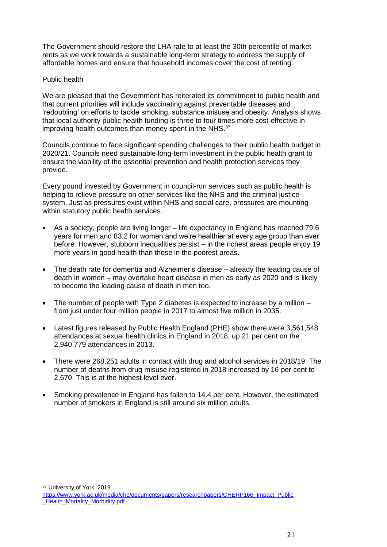The Government should restore the LHA rate to at least the 30th percentile of market rents as we work towards a sustainable long-term strategy to address the supply of affordable homes and ensure that household incomes cover the cost of renting.

# Public health

We are pleased that the Government has reiterated its commitment to public health and that current priorities will include vaccinating against preventable diseases and 'redoubling' on efforts to tackle smoking, substance misuse and obesity. Analysis shows that local authority public health funding is three to four times more cost-effective in improving health outcomes than money spent in the NHS.<sup>37</sup>

Councils continue to face significant spending challenges to their public health budget in 2020/21. Councils need sustainable long-term investment in the public health grant to ensure the viability of the essential prevention and health protection services they provide.

Every pound invested by Government in council-run services such as public health is helping to relieve pressure on other services like the NHS and the criminal justice system. Just as pressures exist within NHS and social care, pressures are mounting within statutory public health services.

- As a society, people are living longer life expectancy in England has reached 79.6 years for men and 83.2 for women and we're healthier at every age group than ever before. However, stubborn inequalities persist – in the richest areas people enjoy 19 more years in good health than those in the poorest areas.
- The death rate for dementia and Alzheimer's disease already the leading cause of death in women – may overtake heart disease in men as early as 2020 and is likely to become the leading cause of death in men too.
- The number of people with Type 2 diabetes is expected to increase by a million  $$ from just under four million people in 2017 to almost five million in 2035.
- Latest figures released by Public Health England (PHE) show there were 3,561,548 attendances at sexual health clinics in England in 2018, up 21 per cent on the 2,940,779 attendances in 2013.
- There were 268,251 adults in contact with drug and alcohol services in 2018/19. The number of deaths from drug misuse registered in 2018 increased by 16 per cent to 2,670. This is at the highest level ever.
- Smoking prevalence in England has fallen to 14.4 per cent. However, the estimated number of smokers in England is still around six million adults.

<sup>37</sup> University of York, 2019.

l

[https://www.york.ac.uk/media/che/documents/papers/researchpapers/CHERP166\\_Impact\\_Public](https://www.york.ac.uk/media/che/documents/papers/researchpapers/CHERP166_Impact_Public_Health_Mortality_Morbidity.pdf) Health Mortality Morbidity.pdf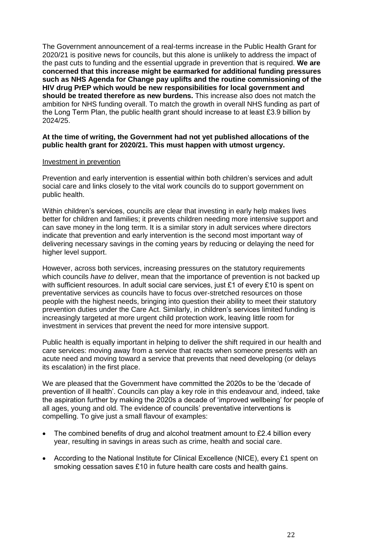The Government announcement of a real-terms increase in the Public Health Grant for 2020/21 is positive news for councils, but this alone is unlikely to address the impact of the past cuts to funding and the essential upgrade in prevention that is required. **We are concerned that this increase might be earmarked for additional funding pressures such as NHS Agenda for Change pay uplifts and the routine commissioning of the HIV drug PrEP which would be new responsibilities for local government and should be treated therefore as new burdens.** This increase also does not match the ambition for NHS funding overall. To match the growth in overall NHS funding as part of the Long Term Plan, the public health grant should increase to at least £3.9 billion by 2024/25.

### **At the time of writing, the Government had not yet published allocations of the public health grant for 2020/21. This must happen with utmost urgency.**

#### Investment in prevention

Prevention and early intervention is essential within both children's services and adult social care and links closely to the vital work councils do to support government on public health.

Within children's services, councils are clear that investing in early help makes lives better for children and families; it prevents children needing more intensive support and can save money in the long term. It is a similar story in adult services where directors indicate that prevention and early intervention is the second most important way of delivering necessary savings in the coming years by reducing or delaying the need for higher level support.

However, across both services, increasing pressures on the statutory requirements which councils *have to* deliver, mean that the importance of prevention is not backed up with sufficient resources. In adult social care services, just £1 of every £10 is spent on preventative services as councils have to focus over-stretched resources on those people with the highest needs, bringing into question their ability to meet their statutory prevention duties under the Care Act. Similarly, in children's services limited funding is increasingly targeted at more urgent child protection work, leaving little room for investment in services that prevent the need for more intensive support.

Public health is equally important in helping to deliver the shift required in our health and care services: moving away from a service that reacts when someone presents with an acute need and moving toward a service that prevents that need developing (or delays its escalation) in the first place.

We are pleased that the Government have committed the 2020s to be the 'decade of prevention of ill health'. Councils can play a key role in this endeavour and, indeed, take the aspiration further by making the 2020s a decade of 'improved wellbeing' for people of all ages, young and old. The evidence of councils' preventative interventions is compelling. To give just a small flavour of examples:

- The combined benefits of drug and alcohol treatment amount to £2.4 billion every year, resulting in savings in areas such as crime, health and social care.
- According to the National Institute for Clinical Excellence (NICE), every £1 spent on smoking cessation saves £10 in future health care costs and health gains.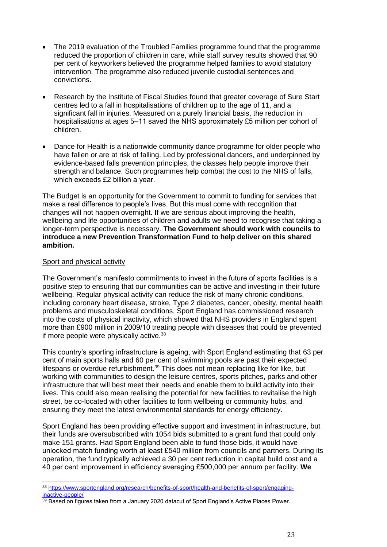- The 2019 evaluation of the Troubled Families programme found that the programme reduced the proportion of children in care, while staff survey results showed that 90 per cent of keyworkers believed the programme helped families to avoid statutory intervention. The programme also reduced juvenile custodial sentences and convictions.
- Research by the Institute of Fiscal Studies found that greater coverage of Sure Start centres led to a fall in hospitalisations of children up to the age of 11, and a significant fall in injuries. Measured on a purely financial basis, the reduction in hospitalisations at ages 5–11 saved the NHS approximately £5 million per cohort of children.
- Dance for Health is a nationwide community dance programme for older people who have fallen or are at risk of falling. Led by professional dancers, and underpinned by evidence-based falls prevention principles, the classes help people improve their strength and balance. Such programmes help combat the cost to the NHS of falls, which exceeds £2 billion a year.

The Budget is an opportunity for the Government to commit to funding for services that make a real difference to people's lives. But this must come with recognition that changes will not happen overnight. If we are serious about improving the health, wellbeing and life opportunities of children and adults we need to recognise that taking a longer-term perspective is necessary. **The Government should work with councils to introduce a new Prevention Transformation Fund to help deliver on this shared ambition.**

# Sport and physical activity

l

The Government's manifesto commitments to invest in the future of sports facilities is a positive step to ensuring that our communities can be active and investing in their future wellbeing. Regular physical activity can reduce the risk of many chronic conditions, including coronary heart disease, stroke, Type 2 diabetes, cancer, obesity, mental health problems and musculoskeletal conditions. Sport England has commissioned research into the costs of physical inactivity, which showed that NHS providers in England spent more than £900 million in 2009/10 treating people with diseases that could be prevented if more people were physically active.<sup>38</sup>

This country's sporting infrastructure is ageing, with Sport England estimating that 63 per cent of main sports halls and 60 per cent of swimming pools are past their expected lifespans or overdue refurbishment. <sup>39</sup> This does not mean replacing like for like, but working with communities to design the leisure centres, sports pitches, parks and other infrastructure that will best meet their needs and enable them to build activity into their lives. This could also mean realising the potential for new facilities to revitalise the high street, be co-located with other facilities to form wellbeing or community hubs, and ensuring they meet the latest environmental standards for energy efficiency.

Sport England has been providing effective support and investment in infrastructure, but their funds are oversubscribed with 1054 bids submitted to a grant fund that could only make 151 grants. Had Sport England been able to fund those bids, it would have unlocked match funding worth at least £540 million from councils and partners. During its operation, the fund typically achieved a 30 per cent reduction in capital build cost and a 40 per cent improvement in efficiency averaging £500,000 per annum per facility. **We** 

<sup>38</sup> [https://www.sportengland.org/research/benefits-of-sport/health-and-benefits-of-sport/engaging](https://www.sportengland.org/research/benefits-of-sport/health-and-benefits-of-sport/engaging-inactive-people/)[inactive-people/](https://www.sportengland.org/research/benefits-of-sport/health-and-benefits-of-sport/engaging-inactive-people/)

<sup>&</sup>lt;sup>39</sup> Based on figures taken from a January 2020 datacut of Sport England's Active Places Power.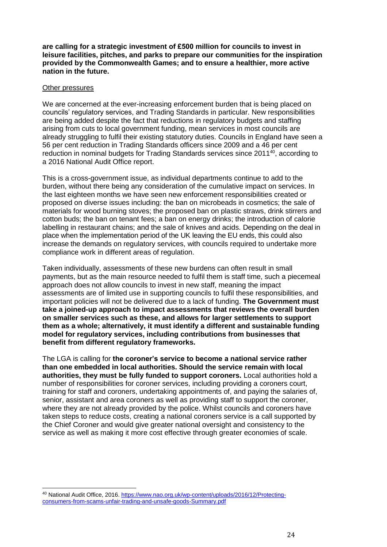**are calling for a strategic investment of £500 million for councils to invest in leisure facilities, pitches, and parks to prepare our communities for the inspiration provided by the Commonwealth Games; and to ensure a healthier, more active nation in the future.**

#### Other pressures

 $\overline{a}$ 

We are concerned at the ever-increasing enforcement burden that is being placed on councils' regulatory services, and Trading Standards in particular. New responsibilities are being added despite the fact that reductions in regulatory budgets and staffing arising from cuts to local government funding, mean services in most councils are already struggling to fulfil their existing statutory duties. Councils in England have seen a 56 per cent reduction in Trading Standards officers since 2009 and a 46 per cent reduction in nominal budgets for Trading Standards services since 2011<sup>40</sup>, according to a 2016 National Audit Office report.

This is a cross-government issue, as individual departments continue to add to the burden, without there being any consideration of the cumulative impact on services. In the last eighteen months we have seen new enforcement responsibilities created or proposed on diverse issues including: the ban on microbeads in cosmetics; the sale of materials for wood burning stoves; the proposed ban on plastic straws, drink stirrers and cotton buds; the ban on tenant fees; a ban on energy drinks; the introduction of calorie labelling in restaurant chains; and the sale of knives and acids. Depending on the deal in place when the implementation period of the UK leaving the EU ends, this could also increase the demands on regulatory services, with councils required to undertake more compliance work in different areas of regulation.

Taken individually, assessments of these new burdens can often result in small payments, but as the main resource needed to fulfil them is staff time, such a piecemeal approach does not allow councils to invest in new staff, meaning the impact assessments are of limited use in supporting councils to fulfil these responsibilities, and important policies will not be delivered due to a lack of funding. **The Government must take a joined-up approach to impact assessments that reviews the overall burden on smaller services such as these, and allows for larger settlements to support them as a whole; alternatively, it must identify a different and sustainable funding model for regulatory services, including contributions from businesses that benefit from different regulatory frameworks.**

The LGA is calling for **the coroner's service to become a national service rather than one embedded in local authorities. Should the service remain with local authorities, they must be fully funded to support coroners.** Local authorities hold a number of responsibilities for coroner services, including providing a coroners court, training for staff and coroners, undertaking appointments of, and paying the salaries of, senior, assistant and area coroners as well as providing staff to support the coroner, where they are not already provided by the police. Whilst councils and coroners have taken steps to reduce costs, creating a national coroners service is a call supported by the Chief Coroner and would give greater national oversight and consistency to the service as well as making it more cost effective through greater economies of scale.

<sup>40</sup> National Audit Office, 2016. [https://www.nao.org.uk/wp-content/uploads/2016/12/Protecting](https://www.nao.org.uk/wp-content/uploads/2016/12/Protecting-consumers-from-scams-unfair-trading-and-unsafe-goods-Summary.pdf)[consumers-from-scams-unfair-trading-and-unsafe-goods-Summary.pdf](https://www.nao.org.uk/wp-content/uploads/2016/12/Protecting-consumers-from-scams-unfair-trading-and-unsafe-goods-Summary.pdf)